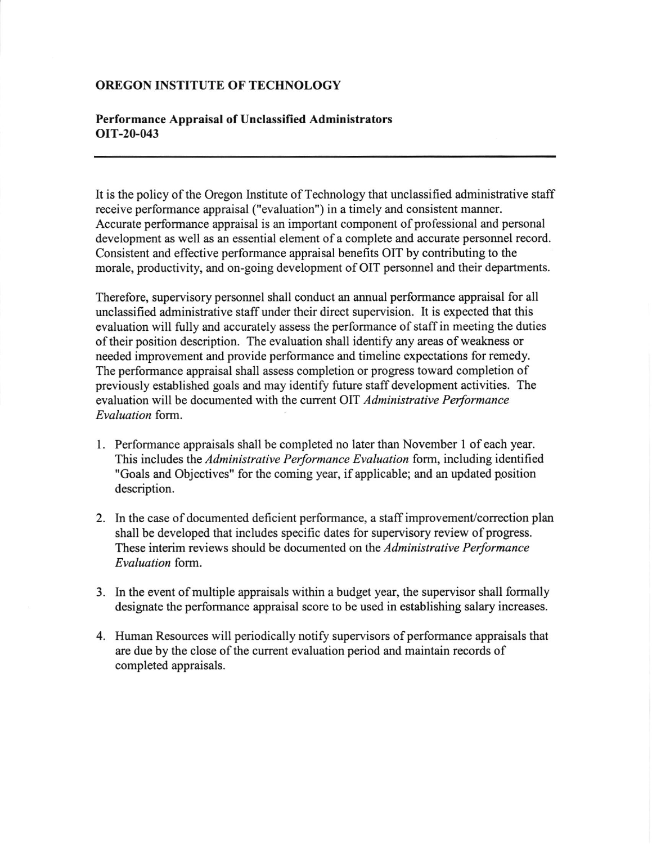## OREGON INSTITUTE OF TECHNOLOGY

## Performance Appraisal of Unclassified Administrators OIT-20-043

It is the policy of the Oregon Institute of Technology that unclassified administrative staff receive performance appraisal ("evaluation") in a timely and consistent manner. Accurate performance appraisal is an important component of professional and personal development as well as an essential element of a complete and accurate personnel record. Consistent and effective performance appraisal benefits OIT by contributing to the morale, productivity, and on-going development of OIT personnel and their departments.

Therefore, supervisory personnel shall conduct an annual performance appraisal for all unclassified administrative staff under their direct supervision. It is expected that this evaluation will fully and accurately assess the performance of staffin meeting the duties of their position description. The evaluation shall identify any areas of weakness or needed improvement and provide performance and timeline expectations for remedy. The performance appraisal shall assess completion or progress toward completion of previously established goals and may identify future staffdevelopment activities. The evaluation will be documented with the current OIT Administrative Performance Evaluation form.

- 1. Performance appraisals shall be completed no later than November I ofeach year. This includes the Administrative Performance Evaluation form, including identified "Goals and Objectives" for the coming year, if applicable; and an updated position description.
- 2. In the case of documented deficient performance, a staff improvement/correction plan shall be developed that includes specific dates for supervisory review of progress. These interim reviews should be documented on the Administrative Performance Evaluation form.
- 3. ln the event of multiple appraisals within a budget year, the supervisor shall formally designate the performance appraisal score to be used in establishing salary increases.
- 4. Human Resources will periodically notify supervisors of performance appraisals that are due by the close of the current evaluation period and maintain records of completed appraisals.